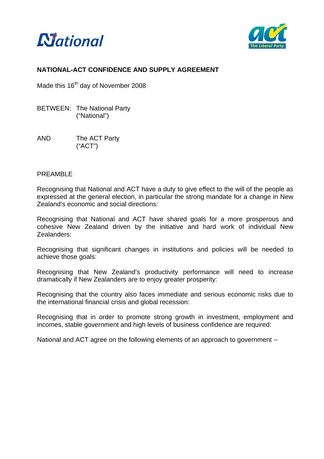



# **NATIONAL-ACT CONFIDENCE AND SUPPLY AGREEMENT**

Made this 16<sup>th</sup> day of November 2008

- BETWEEN: The National Party ("National")
- AND The ACT Party ("ACT")

#### PREAMBLE

Recognising that National and ACT have a duty to give effect to the will of the people as expressed at the general election, in particular the strong mandate for a change in New Zealand's economic and social directions:

Recognising that National and ACT have shared goals for a more prosperous and cohesive New Zealand driven by the initiative and hard work of individual New Zealanders:

Recognising that significant changes in institutions and policies will be needed to achieve those goals:

Recognising that New Zealand's productivity performance will need to increase dramatically if New Zealanders are to enjoy greater prosperity:

Recognising that the country also faces immediate and serious economic risks due to the international financial crisis and global recession:

Recognising that in order to promote strong growth in investment, employment and incomes, stable government and high levels of business confidence are required:

National and ACT agree on the following elements of an approach to government --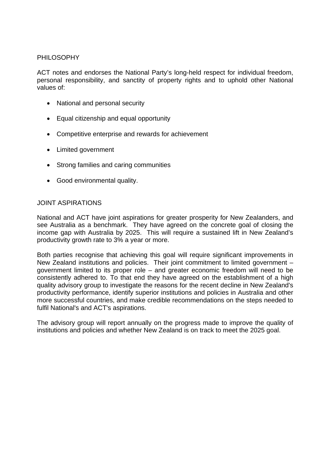# PHILOSOPHY

ACT notes and endorses the National Party's long-held respect for individual freedom, personal responsibility, and sanctity of property rights and to uphold other National values of:

- National and personal security
- Equal citizenship and equal opportunity
- Competitive enterprise and rewards for achievement
- Limited government
- Strong families and caring communities
- Good environmental quality.

#### JOINT ASPIRATIONS

National and ACT have joint aspirations for greater prosperity for New Zealanders, and see Australia as a benchmark. They have agreed on the concrete goal of closing the income gap with Australia by 2025. This will require a sustained lift in New Zealand's productivity growth rate to 3% a year or more.

Both parties recognise that achieving this goal will require significant improvements in New Zealand institutions and policies. Their joint commitment to limited government – government limited to its proper role – and greater economic freedom will need to be consistently adhered to. To that end they have agreed on the establishment of a high quality advisory group to investigate the reasons for the recent decline in New Zealand's productivity performance, identify superior institutions and policies in Australia and other more successful countries, and make credible recommendations on the steps needed to fulfil National's and ACT's aspirations.

The advisory group will report annually on the progress made to improve the quality of institutions and policies and whether New Zealand is on track to meet the 2025 goal.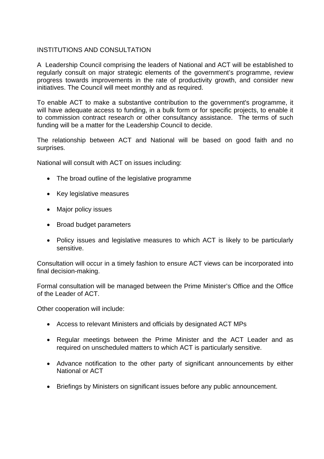# **INSTITUTIONS AND CONSULTATION**

A Leadership Council comprising the leaders of National and ACT will be established to regularly consult on major strategic elements of the government's programme, review progress towards improvements in the rate of productivity growth, and consider new initiatives. The Council will meet monthly and as required.

To enable ACT to make a substantive contribution to the government's programme, it will have adequate access to funding, in a bulk form or for specific projects, to enable it to commission contract research or other consultancy assistance. The terms of such funding will be a matter for the Leadership Council to decide.

The relationship between ACT and National will be based on good faith and no surprises.

National will consult with ACT on issues including:

- The broad outline of the legislative programme
- Key legislative measures
- Major policy issues
- Broad budget parameters
- Policy issues and legislative measures to which ACT is likely to be particularly sensitive.

Consultation will occur in a timely fashion to ensure ACT views can be incorporated into final decision-making.

Formal consultation will be managed between the Prime Minister's Office and the Office of the Leader of ACT.

Other cooperation will include:

- Access to relevant Ministers and officials by designated ACT MPs
- Regular meetings between the Prime Minister and the ACT Leader and as required on unscheduled matters to which ACT is particularly sensitive.
- Advance notification to the other party of significant announcements by either National or ACT
- Briefings by Ministers on significant issues before any public announcement.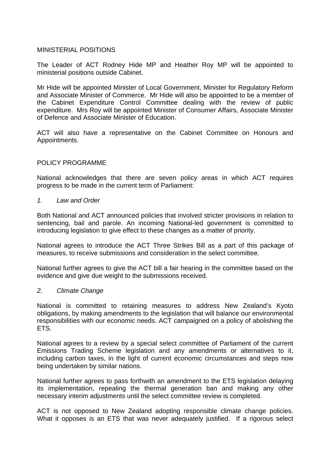#### MINISTERIAL POSITIONS

The Leader of ACT Rodney Hide MP and Heather Roy MP will be appointed to ministerial positions outside Cabinet.

Mr Hide will be appointed Minister of Local Government, Minister for Regulatory Reform and Associate Minister of Commerce. Mr Hide will also be appointed to be a member of the Cabinet Expenditure Control Committee dealing with the review of public expenditure. Mrs Roy will be appointed Minister of Consumer Affairs, Associate Minister of Defence and Associate Minister of Education.

ACT will also have a representative on the Cabinet Committee on Honours and Appointments.

#### POLICY PROGRAMME

National acknowledges that there are seven policy areas in which ACT requires progress to be made in the current term of Parliament:

#### *1. Law and Order*

Both National and ACT announced policies that involved stricter provisions in relation to sentencing, bail and parole. An incoming National-led government is committed to introducing legislation to give effect to these changes as a matter of priority.

National agrees to introduce the ACT Three Strikes Bill as a part of this package of measures, to receive submissions and consideration in the select committee.

National further agrees to give the ACT bill a fair hearing in the committee based on the evidence and give due weight to the submissions received.

#### *2. Climate Change*

National is committed to retaining measures to address New Zealand's Kyoto obligations, by making amendments to the legislation that will balance our environmental responsibilities with our economic needs. ACT campaigned on a policy of abolishing the ETS.

National agrees to a review by a special select committee of Parliament of the current Emissions Trading Scheme legislation and any amendments or alternatives to it, including carbon taxes, in the light of current economic circumstances and steps now being undertaken by similar nations.

National further agrees to pass forthwith an amendment to the ETS legislation delaying its implementation, repealing the thermal generation ban and making any other necessary interim adjustments until the select committee review is completed.

ACT is not opposed to New Zealand adopting responsible climate change policies. What it opposes is an ETS that was never adequately justified. If a rigorous select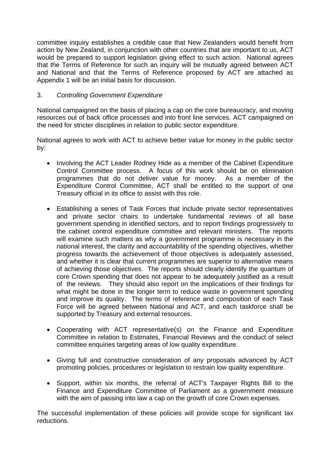committee inquiry establishes a credible case that New Zealanders would benefit from action by New Zealand, in conjunction with other countries that are important to us, ACT would be prepared to support legislation giving effect to such action. National agrees that the Terms of Reference for such an inquiry will be mutually agreed between ACT and National and that the Terms of Reference proposed by ACT are attached as Appendix 1 will be an initial basis for discussion.

# 3. *Controlling Government Expenditure*

National campaigned on the basis of placing a cap on the core bureaucracy, and moving resources out of back office processes and into front line services. ACT campaigned on the need for stricter disciplines in relation to public sector expenditure.

National agrees to work with ACT to achieve better value for money in the public sector by:

- Involving the ACT Leader Rodney Hide as a member of the Cabinet Expenditure Control Committee process. A focus of this work should be on elimination programmes that do not deliver value for money. As a member of the Expenditure Control Committee, ACT shall be entitled to the support of one Treasury official in its office to assist with this role.
- Establishing a series of Task Forces that include private sector representatives and private sector chairs to undertake fundamental reviews of all base government spending in identified sectors, and to report findings progressively to the cabinet control expenditure committee and relevant ministers. The reports will examine such matters as why a government programme is necessary in the national interest, the clarity and accountability of the spending objectives, whether progress towards the achievement of those objectives is adequately assessed, and whether it is clear that current programmes are superior to alternative means of achieving those objectives. The reports should clearly identify the quantum of core Crown spending that does not appear to be adequately justified as a result of the reviews. They should also report on the implications of their findings for what might be done in the longer term to reduce waste in government spending and improve its quality. The terms of reference and composition of each Task Force will be agreed between National and ACT, and each taskforce shall be supported by Treasury and external resources.
- Cooperating with ACT representative(s) on the Finance and Expenditure Committee in relation to Estimates, Financial Reviews and the conduct of select committee enquiries targeting areas of low quality expenditure.
- Giving full and constructive consideration of any proposals advanced by ACT promoting policies, procedures or legislation to restrain low quality expenditure.
- Support, within six months, the referral of ACT's Taxpayer Rights Bill to the Finance and Expenditure Committee of Parliament as a government measure with the aim of passing into law a cap on the growth of core Crown expenses.

The successful implementation of these policies will provide scope for significant tax reductions.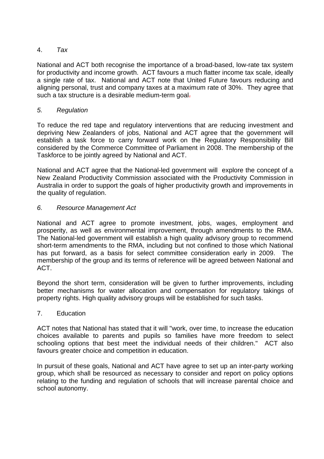# 4. *Tax*

National and ACT both recognise the importance of a broad-based, low-rate tax system for productivity and income growth. ACT favours a much flatter income tax scale, ideally a single rate of tax. National and ACT note that United Future favours reducing and aligning personal, trust and company taxes at a maximum rate of 30%. They agree that such a tax structure is a desirable medium-term goal-

# *5. Regulation*

To reduce the red tape and regulatory interventions that are reducing investment and depriving New Zealanders of jobs, National and ACT agree that the government will establish a task force to carry forward work on the Regulatory Responsibility Bill considered by the Commerce Committee of Parliament in 2008. The membership of the Taskforce to be jointly agreed by National and ACT.

National and ACT agree that the National-led government will explore the concept of a New Zealand Productivity Commission associated with the Productivity Commission in Australia in order to support the goals of higher productivity growth and improvements in the quality of regulation.

# *6. Resource Management Act*

National and ACT agree to promote investment, jobs, wages, employment and prosperity, as well as environmental improvement, through amendments to the RMA. The National-led government will establish a high quality advisory group to recommend short-term amendments to the RMA, including but not confined to those which National has put forward, as a basis for select committee consideration early in 2009. The membership of the group and its terms of reference will be agreed between National and ACT.

Beyond the short term, consideration will be given to further improvements, including better mechanisms for water allocation and compensation for regulatory takings of property rights. High quality advisory groups will be established for such tasks.

#### 7. Education

ACT notes that National has stated that it will "work, over time, to increase the education choices available to parents and pupils so families have more freedom to select schooling options that best meet the individual needs of their children." ACT also favours greater choice and competition in education.

In pursuit of these goals, National and ACT have agree to set up an inter-party working group, which shall be resourced as necessary to consider and report on policy options relating to the funding and regulation of schools that will increase parental choice and school autonomy.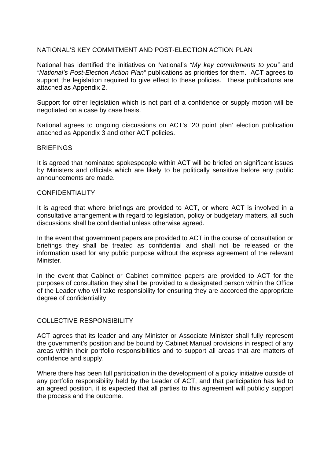# NATIONAL'S KEY COMMITMENT AND POST-ELECTION ACTION PLAN

National has identified the initiatives on National's *"My key commitments to you"* and *"National's Post-Election Action Plan"* publications as priorities for them. ACT agrees to support the legislation required to give effect to these policies. These publications are attached as Appendix 2.

Support for other legislation which is not part of a confidence or supply motion will be negotiated on a case by case basis.

National agrees to ongoing discussions on ACT's '20 point plan' election publication attached as Appendix 3 and other ACT policies.

#### **BRIFFINGS**

It is agreed that nominated spokespeople within ACT will be briefed on significant issues by Ministers and officials which are likely to be politically sensitive before any public announcements are made.

#### **CONFIDENTIALITY**

It is agreed that where briefings are provided to ACT, or where ACT is involved in a consultative arrangement with regard to legislation, policy or budgetary matters, all such discussions shall be confidential unless otherwise agreed.

In the event that government papers are provided to ACT in the course of consultation or briefings they shall be treated as confidential and shall not be released or the information used for any public purpose without the express agreement of the relevant **Minister** 

In the event that Cabinet or Cabinet committee papers are provided to ACT for the purposes of consultation they shall be provided to a designated person within the Office of the Leader who will take responsibility for ensuring they are accorded the appropriate degree of confidentiality.

#### COLLECTIVE RESPONSIBILITY

ACT agrees that its leader and any Minister or Associate Minister shall fully represent the government's position and be bound by Cabinet Manual provisions in respect of any areas within their portfolio responsibilities and to support all areas that are matters of confidence and supply.

Where there has been full participation in the development of a policy initiative outside of any portfolio responsibility held by the Leader of ACT, and that participation has led to an agreed position, it is expected that all parties to this agreement will publicly support the process and the outcome.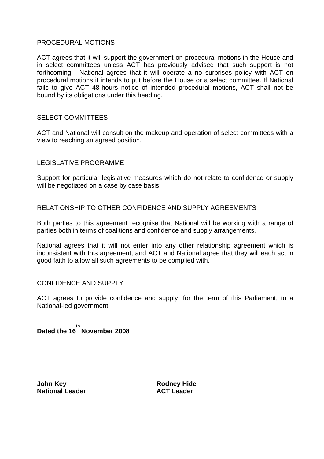#### PROCEDURAL MOTIONS

ACT agrees that it will support the government on procedural motions in the House and in select committees unless ACT has previously advised that such support is not forthcoming. National agrees that it will operate a no surprises policy with ACT on procedural motions it intends to put before the House or a select committee. If National fails to give ACT 48-hours notice of intended procedural motions, ACT shall not be bound by its obligations under this heading.

#### SELECT COMMITTEES

ACT and National will consult on the makeup and operation of select committees with a view to reaching an agreed position.

#### LEGISLATIVE PROGRAMME

Support for particular legislative measures which do not relate to confidence or supply will be negotiated on a case by case basis.

#### RELATIONSHIP TO OTHER CONFIDENCE AND SUPPLY AGREEMENTS

Both parties to this agreement recognise that National will be working with a range of parties both in terms of coalitions and confidence and supply arrangements.

National agrees that it will not enter into any other relationship agreement which is inconsistent with this agreement, and ACT and National agree that they will each act in good faith to allow all such agreements to be complied with.

#### CONFIDENCE AND SUPPLY

ACT agrees to provide confidence and supply, for the term of this Parliament, to a National-led government.

**Dated the 16 th November 2008** 

**John Key Community Community Rodney Hide National Leader ACT Leader**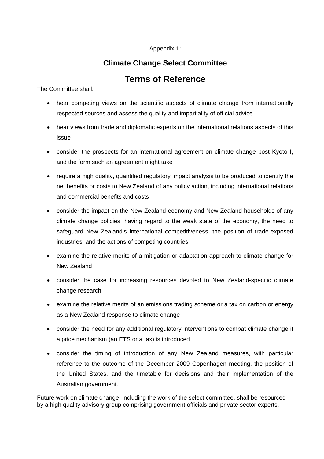#### Appendix 1:

# **Climate Change Select Committee**

# **Terms of Reference**

The Committee shall:

- hear competing views on the scientific aspects of climate change from internationally respected sources and assess the quality and impartiality of official advice
- hear views from trade and diplomatic experts on the international relations aspects of this issue
- consider the prospects for an international agreement on climate change post Kyoto I, and the form such an agreement might take
- require a high quality, quantified regulatory impact analysis to be produced to identify the net benefits or costs to New Zealand of any policy action, including international relations and commercial benefits and costs
- consider the impact on the New Zealand economy and New Zealand households of any climate change policies, having regard to the weak state of the economy, the need to safeguard New Zealand's international competitiveness, the position of trade-exposed industries, and the actions of competing countries
- examine the relative merits of a mitigation or adaptation approach to climate change for New Zealand
- consider the case for increasing resources devoted to New Zealand-specific climate change research
- examine the relative merits of an emissions trading scheme or a tax on carbon or energy as a New Zealand response to climate change
- consider the need for any additional regulatory interventions to combat climate change if a price mechanism (an ETS or a tax) is introduced
- consider the timing of introduction of any New Zealand measures, with particular reference to the outcome of the December 2009 Copenhagen meeting, the position of the United States, and the timetable for decisions and their implementation of the Australian government.

Future work on climate change, including the work of the select committee, shall be resourced by a high quality advisory group comprising government officials and private sector experts.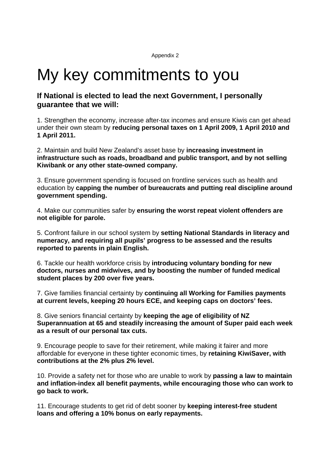Appendix 2

# My key commitments to you

10

# **If National is elected to lead the next Government, I personally guarantee that we will:**

1. Strengthen the economy, increase after-tax incomes and ensure Kiwis can get ahead under their own steam by **reducing personal taxes on 1 April 2009, 1 April 2010 and 1 April 2011.**

2. Maintain and build New Zealand's asset base by **increasing investment in infrastructure such as roads, broadband and public transport, and by not selling Kiwibank or any other state-owned company.**

3. Ensure government spending is focused on frontline services such as health and education by **capping the number of bureaucrats and putting real discipline around government spending.**

4. Make our communities safer by **ensuring the worst repeat violent offenders are not eligible for parole.** 

5. Confront failure in our school system by **setting National Standards in literacy and numeracy, and requiring all pupils' progress to be assessed and the results reported to parents in plain English.**

6. Tackle our health workforce crisis by **introducing voluntary bonding for new doctors, nurses and midwives, and by boosting the number of funded medical student places by 200 over five years.** 

7. Give families financial certainty by **continuing all Working for Families payments at current levels, keeping 20 hours ECE, and keeping caps on doctors' fees.** 

8. Give seniors financial certainty by **keeping the age of eligibility of NZ Superannuation at 65 and steadily increasing the amount of Super paid each week as a result of our personal tax cuts.**

9. Encourage people to save for their retirement, while making it fairer and more affordable for everyone in these tighter economic times, by **retaining KiwiSaver, with contributions at the 2% plus 2% level.**

10. Provide a safety net for those who are unable to work by **passing a law to maintain and inflation-index all benefit payments, while encouraging those who can work to go back to work.**

11. Encourage students to get rid of debt sooner by **keeping interest-free student loans and offering a 10% bonus on early repayments.**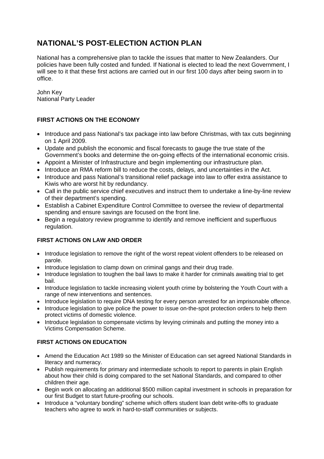# **NATIONAL'S POST-ELECTION ACTION PLAN**

National has a comprehensive plan to tackle the issues that matter to New Zealanders. Our policies have been fully costed and funded. If National is elected to lead the next Government, I will see to it that these first actions are carried out in our first 100 days after being sworn in to office.

John Key National Party Leader

# **FIRST ACTIONS ON THE ECONOMY**

- Introduce and pass National's tax package into law before Christmas, with tax cuts beginning on 1 April 2009.
- Update and publish the economic and fiscal forecasts to gauge the true state of the Government's books and determine the on-going effects of the international economic crisis.
- Appoint a Minister of Infrastructure and begin implementing our infrastructure plan.
- Introduce an RMA reform bill to reduce the costs, delays, and uncertainties in the Act.
- Introduce and pass National's transitional relief package into law to offer extra assistance to Kiwis who are worst hit by redundancy.
- Call in the public service chief executives and instruct them to undertake a line-by-line review of their department's spending.
- Establish a Cabinet Expenditure Control Committee to oversee the review of departmental spending and ensure savings are focused on the front line.
- Begin a regulatory review programme to identify and remove inefficient and superfluous regulation.

#### **FIRST ACTIONS ON LAW AND ORDER**

- Introduce legislation to remove the right of the worst repeat violent offenders to be released on parole.
- Introduce legislation to clamp down on criminal gangs and their drug trade.
- Introduce legislation to toughen the bail laws to make it harder for criminals awaiting trial to get bail.
- Introduce legislation to tackle increasing violent youth crime by bolstering the Youth Court with a range of new interventions and sentences.
- Introduce legislation to require DNA testing for every person arrested for an imprisonable offence.
- Introduce legislation to give police the power to issue on-the-spot protection orders to help them protect victims of domestic violence.
- Introduce legislation to compensate victims by levying criminals and putting the money into a Victims Compensation Scheme.

#### **FIRST ACTIONS ON EDUCATION**

- Amend the Education Act 1989 so the Minister of Education can set agreed National Standards in literacy and numeracy.
- Publish requirements for primary and intermediate schools to report to parents in plain English about how their child is doing compared to the set National Standards, and compared to other children their age.
- Begin work on allocating an additional \$500 million capital investment in schools in preparation for our first Budget to start future-proofing our schools.
- Introduce a "voluntary bonding" scheme which offers student loan debt write-offs to graduate teachers who agree to work in hard-to-staff communities or subjects.